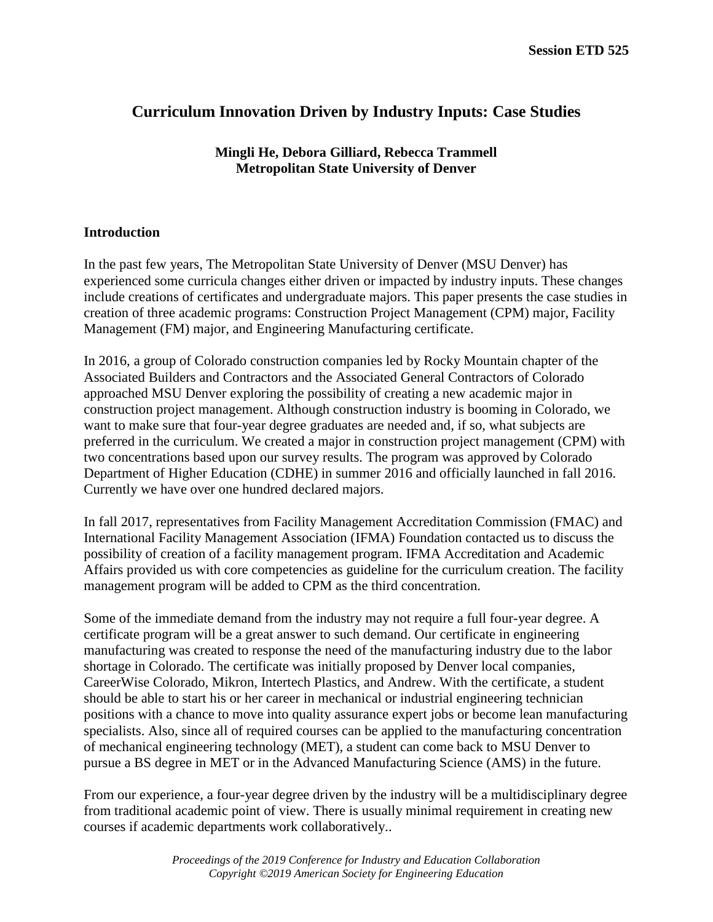# **Curriculum Innovation Driven by Industry Inputs: Case Studies**

## **Mingli He, Debora Gilliard, Rebecca Trammell Metropolitan State University of Denver**

## **Introduction**

In the past few years, The Metropolitan State University of Denver (MSU Denver) has experienced some curricula changes either driven or impacted by industry inputs. These changes include creations of certificates and undergraduate majors. This paper presents the case studies in creation of three academic programs: Construction Project Management (CPM) major, Facility Management (FM) major, and Engineering Manufacturing certificate.

In 2016, a group of Colorado construction companies led by Rocky Mountain chapter of the Associated Builders and Contractors and the Associated General Contractors of Colorado approached MSU Denver exploring the possibility of creating a new academic major in construction project management. Although construction industry is booming in Colorado, we want to make sure that four-year degree graduates are needed and, if so, what subjects are preferred in the curriculum. We created a major in construction project management (CPM) with two concentrations based upon our survey results. The program was approved by Colorado Department of Higher Education (CDHE) in summer 2016 and officially launched in fall 2016. Currently we have over one hundred declared majors.

In fall 2017, representatives from Facility Management Accreditation Commission (FMAC) and International Facility Management Association (IFMA) Foundation contacted us to discuss the possibility of creation of a facility management program. IFMA Accreditation and Academic Affairs provided us with core competencies as guideline for the curriculum creation. The facility management program will be added to CPM as the third concentration.

Some of the immediate demand from the industry may not require a full four-year degree. A certificate program will be a great answer to such demand. Our certificate in engineering manufacturing was created to response the need of the manufacturing industry due to the labor shortage in Colorado. The certificate was initially proposed by Denver local companies, CareerWise Colorado, Mikron, Intertech Plastics, and Andrew. With the certificate, a student should be able to start his or her career in mechanical or industrial engineering technician positions with a chance to move into quality assurance expert jobs or become lean manufacturing specialists. Also, since all of required courses can be applied to the manufacturing concentration of mechanical engineering technology (MET), a student can come back to MSU Denver to pursue a BS degree in MET or in the Advanced Manufacturing Science (AMS) in the future.

From our experience, a four-year degree driven by the industry will be a multidisciplinary degree from traditional academic point of view. There is usually minimal requirement in creating new courses if academic departments work collaboratively..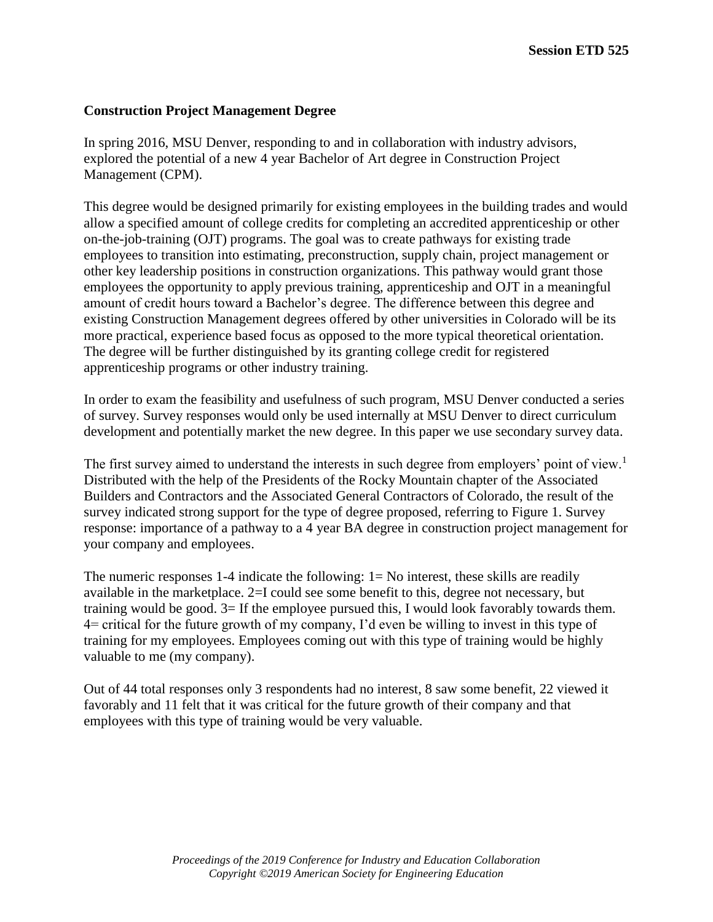## **Construction Project Management Degree**

In spring 2016, MSU Denver, responding to and in collaboration with industry advisors, explored the potential of a new 4 year Bachelor of Art degree in Construction Project Management (CPM).

This degree would be designed primarily for existing employees in the building trades and would allow a specified amount of college credits for completing an accredited apprenticeship or other on-the-job-training (OJT) programs. The goal was to create pathways for existing trade employees to transition into estimating, preconstruction, supply chain, project management or other key leadership positions in construction organizations. This pathway would grant those employees the opportunity to apply previous training, apprenticeship and OJT in a meaningful amount of credit hours toward a Bachelor's degree. The difference between this degree and existing Construction Management degrees offered by other universities in Colorado will be its more practical, experience based focus as opposed to the more typical theoretical orientation. The degree will be further distinguished by its granting college credit for registered apprenticeship programs or other industry training.

In order to exam the feasibility and usefulness of such program, MSU Denver conducted a series of survey. Survey responses would only be used internally at MSU Denver to direct curriculum development and potentially market the new degree. In this paper we use secondary survey data.

The first survey aimed to understand the interests in such degree from employers' point of view.<sup>1</sup> Distributed with the help of the Presidents of the Rocky Mountain chapter of the Associated Builders and Contractors and the Associated General Contractors of Colorado, the result of the survey indicated strong support for the type of degree proposed, referring to Figure 1. Survey response: importance of a pathway to a 4 year BA degree in construction project management for your company and employees.

The numeric responses 1-4 indicate the following:  $1 = No$  interest, these skills are readily available in the marketplace. 2=I could see some benefit to this, degree not necessary, but training would be good. 3= If the employee pursued this, I would look favorably towards them. 4= critical for the future growth of my company, I'd even be willing to invest in this type of training for my employees. Employees coming out with this type of training would be highly valuable to me (my company).

Out of 44 total responses only 3 respondents had no interest, 8 saw some benefit, 22 viewed it favorably and 11 felt that it was critical for the future growth of their company and that employees with this type of training would be very valuable.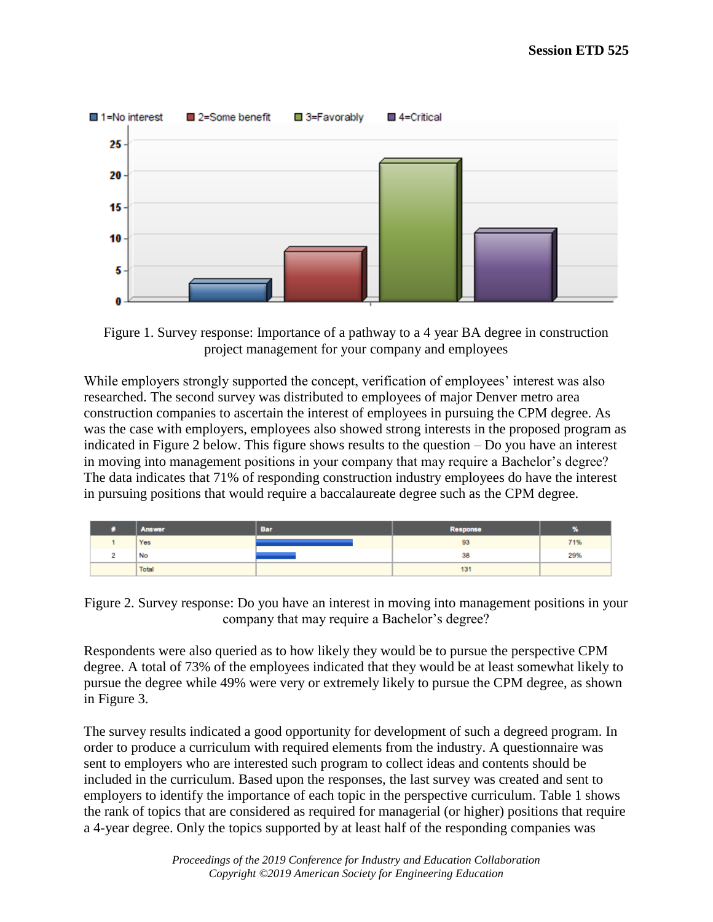

Figure 1. Survey response: Importance of a pathway to a 4 year BA degree in construction project management for your company and employees

While employers strongly supported the concept, verification of employees' interest was also researched. The second survey was distributed to employees of major Denver metro area construction companies to ascertain the interest of employees in pursuing the CPM degree. As was the case with employers, employees also showed strong interests in the proposed program as indicated in Figure 2 below. This figure shows results to the question – Do you have an interest in moving into management positions in your company that may require a Bachelor's degree? The data indicates that 71% of responding construction industry employees do have the interest in pursuing positions that would require a baccalaureate degree such as the CPM degree.

| Answer | Bar | <b>Response</b> | æ   |
|--------|-----|-----------------|-----|
| Yes    |     | 93              | 71% |
| No     |     | 38              | 29% |
| Total  |     | 131             |     |

Figure 2. Survey response: Do you have an interest in moving into management positions in your company that may require a Bachelor's degree?

Respondents were also queried as to how likely they would be to pursue the perspective CPM degree. A total of 73% of the employees indicated that they would be at least somewhat likely to pursue the degree while 49% were very or extremely likely to pursue the CPM degree, as shown in Figure 3.

The survey results indicated a good opportunity for development of such a degreed program. In order to produce a curriculum with required elements from the industry. A questionnaire was sent to employers who are interested such program to collect ideas and contents should be included in the curriculum. Based upon the responses, the last survey was created and sent to employers to identify the importance of each topic in the perspective curriculum. Table 1 shows the rank of topics that are considered as required for managerial (or higher) positions that require a 4-year degree. Only the topics supported by at least half of the responding companies was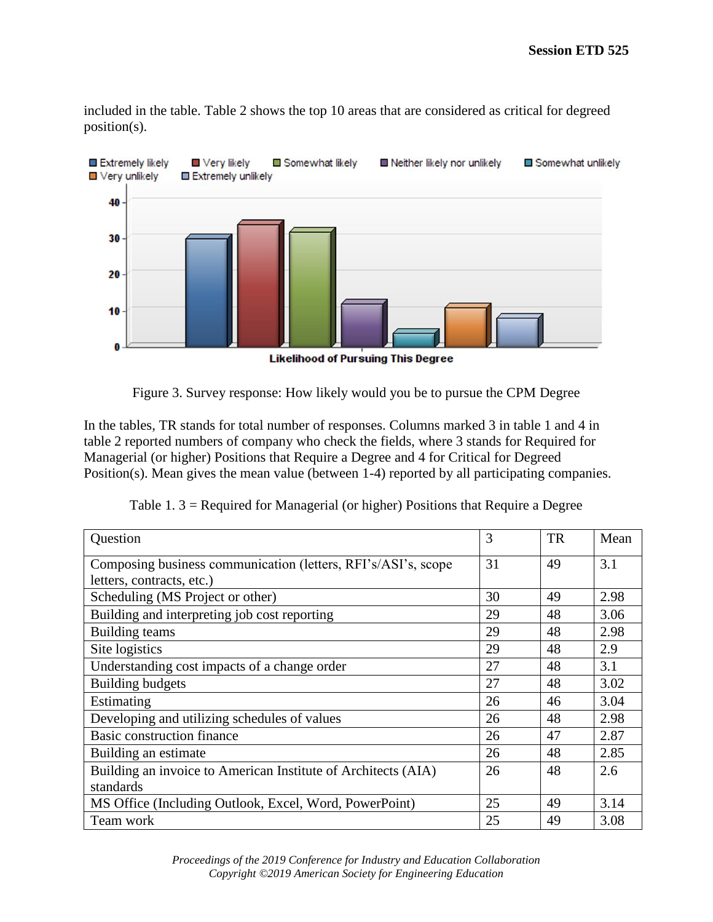included in the table. Table 2 shows the top 10 areas that are considered as critical for degreed position(s).



Figure 3. Survey response: How likely would you be to pursue the CPM Degree

In the tables, TR stands for total number of responses. Columns marked 3 in table 1 and 4 in table 2 reported numbers of company who check the fields, where 3 stands for Required for Managerial (or higher) Positions that Require a Degree and 4 for Critical for Degreed Position(s). Mean gives the mean value (between 1-4) reported by all participating companies.

|  | Table 1. $3$ = Required for Managerial (or higher) Positions that Require a Degree |
|--|------------------------------------------------------------------------------------|
|  |                                                                                    |

| Question                                                      | 3  | <b>TR</b> | Mean |
|---------------------------------------------------------------|----|-----------|------|
| Composing business communication (letters, RFI's/ASI's, scope | 31 | 49        | 3.1  |
| letters, contracts, etc.)                                     |    |           |      |
| Scheduling (MS Project or other)                              | 30 | 49        | 2.98 |
| Building and interpreting job cost reporting                  | 29 | 48        | 3.06 |
| Building teams                                                | 29 | 48        | 2.98 |
| Site logistics                                                | 29 | 48        | 2.9  |
| Understanding cost impacts of a change order                  | 27 | 48        | 3.1  |
| <b>Building budgets</b>                                       | 27 | 48        | 3.02 |
| Estimating                                                    | 26 | 46        | 3.04 |
| Developing and utilizing schedules of values                  | 26 | 48        | 2.98 |
| Basic construction finance                                    | 26 | 47        | 2.87 |
| Building an estimate                                          | 26 | 48        | 2.85 |
| Building an invoice to American Institute of Architects (AIA) | 26 | 48        | 2.6  |
| standards                                                     |    |           |      |
| MS Office (Including Outlook, Excel, Word, PowerPoint)        | 25 | 49        | 3.14 |
| Team work                                                     | 25 | 49        | 3.08 |

*Proceedings of the 2019 Conference for Industry and Education Collaboration Copyright ©2019 American Society for Engineering Education*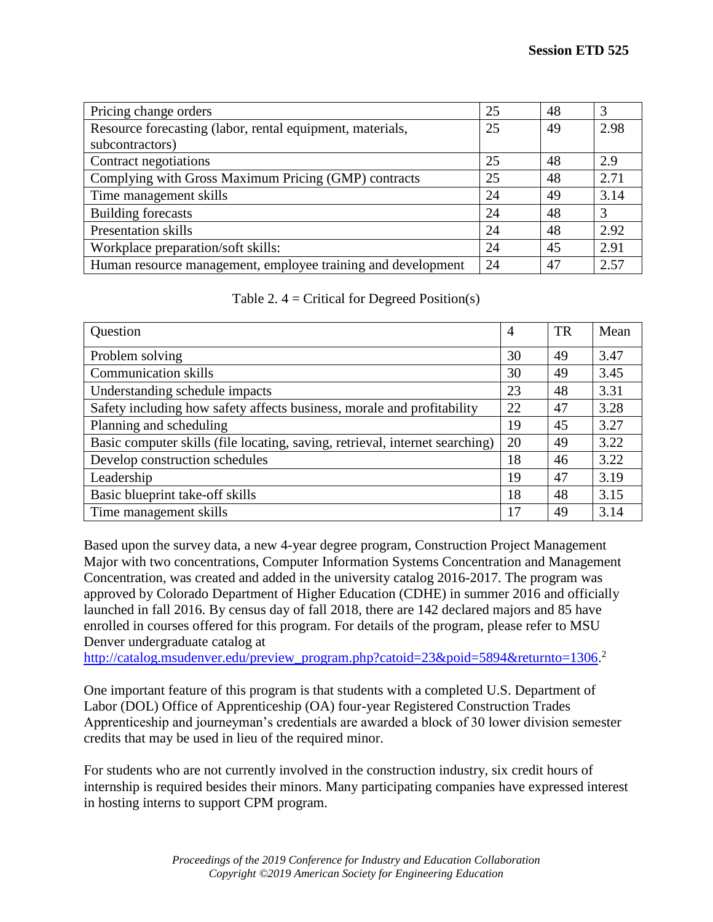| Pricing change orders                                        | 25  | 48 | 3    |
|--------------------------------------------------------------|-----|----|------|
| Resource forecasting (labor, rental equipment, materials,    | 25  | 49 | 2.98 |
| subcontractors)                                              |     |    |      |
| Contract negotiations                                        | 25  | 48 | 2.9  |
| Complying with Gross Maximum Pricing (GMP) contracts         | 25  | 48 | 2.71 |
| Time management skills                                       | 24  | 49 | 3.14 |
| <b>Building forecasts</b>                                    | 24  | 48 | 3    |
| <b>Presentation skills</b>                                   | 24  | 48 | 2.92 |
| Workplace preparation/soft skills:                           | 24  | 45 | 2.91 |
| Human resource management, employee training and development | -24 | 47 | 2.57 |

| Table 2. $4 =$ Critical for Degreed Position(s) |  |  |  |  |
|-------------------------------------------------|--|--|--|--|
|-------------------------------------------------|--|--|--|--|

| Question                                                                     | $\overline{A}$ | <b>TR</b> | Mean |
|------------------------------------------------------------------------------|----------------|-----------|------|
| Problem solving                                                              | 30             | 49        | 3.47 |
| <b>Communication skills</b>                                                  | 30             | 49        | 3.45 |
| Understanding schedule impacts                                               | 23             | 48        | 3.31 |
| Safety including how safety affects business, morale and profitability       | 22             | 47        | 3.28 |
| Planning and scheduling                                                      | 19             | 45        | 3.27 |
| Basic computer skills (file locating, saving, retrieval, internet searching) | 20             | 49        | 3.22 |
| Develop construction schedules                                               | 18             | 46        | 3.22 |
| Leadership                                                                   | 19             | 47        | 3.19 |
| Basic blueprint take-off skills                                              | 18             | 48        | 3.15 |
| Time management skills                                                       | 17             | 49        | 3.14 |

Based upon the survey data, a new 4-year degree program, Construction Project Management Major with two concentrations, Computer Information Systems Concentration and Management Concentration, was created and added in the university catalog 2016-2017. The program was approved by Colorado Department of Higher Education (CDHE) in summer 2016 and officially launched in fall 2016. By census day of fall 2018, there are 142 declared majors and 85 have enrolled in courses offered for this program. For details of the program, please refer to MSU Denver undergraduate catalog at

[http://catalog.msudenver.edu/preview\\_program.php?catoid=23&poid=5894&returnto=1306.](http://catalog.msudenver.edu/preview_program.php?catoid=23&poid=5894&returnto=1306)<sup>2</sup>

One important feature of this program is that students with a completed U.S. Department of Labor (DOL) Office of Apprenticeship (OA) four-year Registered Construction Trades Apprenticeship and journeyman's credentials are awarded a block of 30 lower division semester credits that may be used in lieu of the required minor.

For students who are not currently involved in the construction industry, six credit hours of internship is required besides their minors. Many participating companies have expressed interest in hosting interns to support CPM program.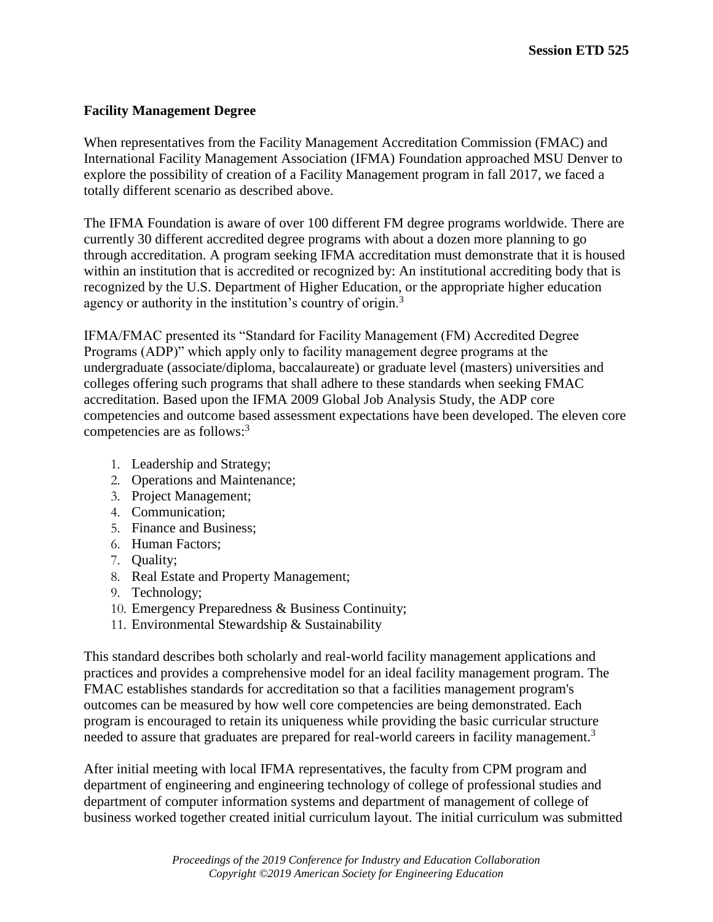## **Facility Management Degree**

When representatives from the Facility Management Accreditation Commission (FMAC) and International Facility Management Association (IFMA) Foundation approached MSU Denver to explore the possibility of creation of a Facility Management program in fall 2017, we faced a totally different scenario as described above.

The IFMA Foundation is aware of over 100 different FM degree programs worldwide. There are currently 30 different accredited degree programs with about a dozen more planning to go through accreditation. A program seeking IFMA accreditation must demonstrate that it is housed within an institution that is accredited or recognized by: An institutional accrediting body that is recognized by the U.S. Department of Higher Education, or the appropriate higher education agency or authority in the institution's country of origin.<sup>3</sup>

IFMA/FMAC presented its "Standard for Facility Management (FM) Accredited Degree Programs (ADP)" which apply only to facility management degree programs at the undergraduate (associate/diploma, baccalaureate) or graduate level (masters) universities and colleges offering such programs that shall adhere to these standards when seeking FMAC accreditation. Based upon the IFMA 2009 Global Job Analysis Study, the ADP core competencies and outcome based assessment expectations have been developed. The eleven core competencies are as follows:<sup>3</sup>

- 1. Leadership and Strategy;
- 2. Operations and Maintenance;
- 3. Project Management;
- 4. Communication;
- 5. Finance and Business;
- 6. Human Factors;
- 7. Quality;
- 8. Real Estate and Property Management;
- 9. Technology;
- 10. Emergency Preparedness & Business Continuity;
- 11. Environmental Stewardship & Sustainability

This standard describes both scholarly and real-world facility management applications and practices and provides a comprehensive model for an ideal facility management program. The FMAC establishes standards for accreditation so that a facilities management program's outcomes can be measured by how well core competencies are being demonstrated. Each program is encouraged to retain its uniqueness while providing the basic curricular structure needed to assure that graduates are prepared for real-world careers in facility management.<sup>3</sup>

After initial meeting with local IFMA representatives, the faculty from CPM program and department of engineering and engineering technology of college of professional studies and department of computer information systems and department of management of college of business worked together created initial curriculum layout. The initial curriculum was submitted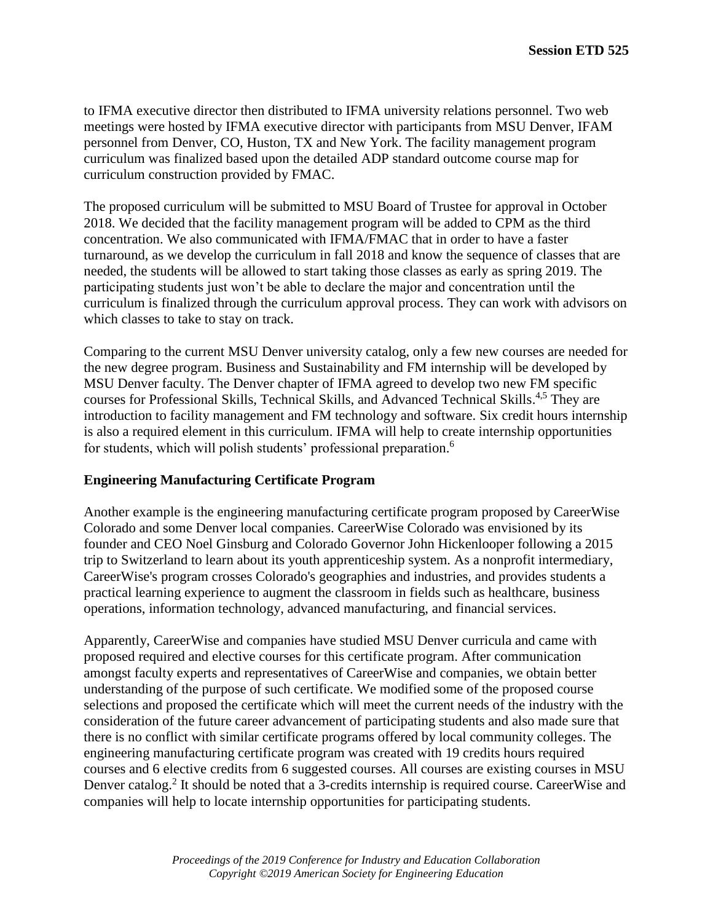to IFMA executive director then distributed to IFMA university relations personnel. Two web meetings were hosted by IFMA executive director with participants from MSU Denver, IFAM personnel from Denver, CO, Huston, TX and New York. The facility management program curriculum was finalized based upon the detailed ADP standard outcome course map for curriculum construction provided by FMAC.

The proposed curriculum will be submitted to MSU Board of Trustee for approval in October 2018. We decided that the facility management program will be added to CPM as the third concentration. We also communicated with IFMA/FMAC that in order to have a faster turnaround, as we develop the curriculum in fall 2018 and know the sequence of classes that are needed, the students will be allowed to start taking those classes as early as spring 2019. The participating students just won't be able to declare the major and concentration until the curriculum is finalized through the curriculum approval process. They can work with advisors on which classes to take to stay on track.

Comparing to the current MSU Denver university catalog, only a few new courses are needed for the new degree program. Business and Sustainability and FM internship will be developed by MSU Denver faculty. The Denver chapter of IFMA agreed to develop two new FM specific courses for Professional Skills, Technical Skills, and Advanced Technical Skills.<sup>4,5</sup> They are introduction to facility management and FM technology and software. Six credit hours internship is also a required element in this curriculum. IFMA will help to create internship opportunities for students, which will polish students' professional preparation.<sup>6</sup>

### **Engineering Manufacturing Certificate Program**

Another example is the engineering manufacturing certificate program proposed by CareerWise Colorado and some Denver local companies. CareerWise Colorado was envisioned by its founder and CEO Noel Ginsburg and Colorado Governor John Hickenlooper following a 2015 trip to Switzerland to learn about its youth apprenticeship system. As a nonprofit intermediary, CareerWise's program crosses Colorado's geographies and industries, and provides students a practical learning experience to augment the classroom in fields such as healthcare, business operations, information technology, advanced manufacturing, and financial services.

Apparently, CareerWise and companies have studied MSU Denver curricula and came with proposed required and elective courses for this certificate program. After communication amongst faculty experts and representatives of CareerWise and companies, we obtain better understanding of the purpose of such certificate. We modified some of the proposed course selections and proposed the certificate which will meet the current needs of the industry with the consideration of the future career advancement of participating students and also made sure that there is no conflict with similar certificate programs offered by local community colleges. The engineering manufacturing certificate program was created with 19 credits hours required courses and 6 elective credits from 6 suggested courses. All courses are existing courses in MSU Denver catalog.<sup>2</sup> It should be noted that a 3-credits internship is required course. CareerWise and companies will help to locate internship opportunities for participating students.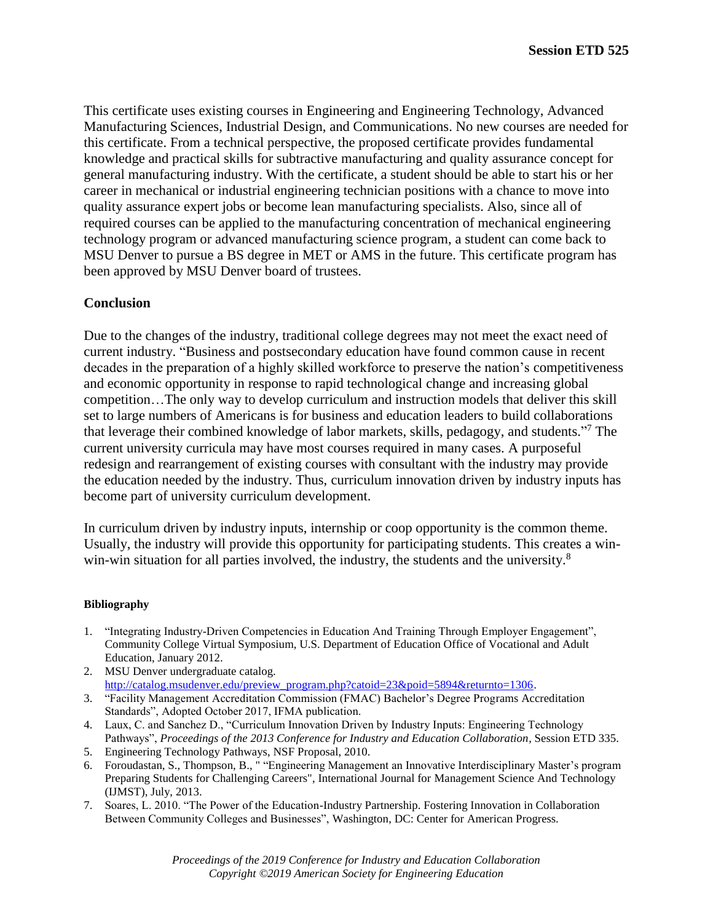This certificate uses existing courses in Engineering and Engineering Technology, Advanced Manufacturing Sciences, Industrial Design, and Communications. No new courses are needed for this certificate. From a technical perspective, the proposed certificate provides fundamental knowledge and practical skills for subtractive manufacturing and quality assurance concept for general manufacturing industry. With the certificate, a student should be able to start his or her career in mechanical or industrial engineering technician positions with a chance to move into quality assurance expert jobs or become lean manufacturing specialists. Also, since all of required courses can be applied to the manufacturing concentration of mechanical engineering technology program or advanced manufacturing science program, a student can come back to MSU Denver to pursue a BS degree in MET or AMS in the future. This certificate program has been approved by MSU Denver board of trustees.

### **Conclusion**

Due to the changes of the industry, traditional college degrees may not meet the exact need of current industry. "Business and postsecondary education have found common cause in recent decades in the preparation of a highly skilled workforce to preserve the nation's competitiveness and economic opportunity in response to rapid technological change and increasing global competition…The only way to develop curriculum and instruction models that deliver this skill set to large numbers of Americans is for business and education leaders to build collaborations that leverage their combined knowledge of labor markets, skills, pedagogy, and students." <sup>7</sup> The current university curricula may have most courses required in many cases. A purposeful redesign and rearrangement of existing courses with consultant with the industry may provide the education needed by the industry. Thus, curriculum innovation driven by industry inputs has become part of university curriculum development.

In curriculum driven by industry inputs, internship or coop opportunity is the common theme. Usually, the industry will provide this opportunity for participating students. This creates a winwin-win situation for all parties involved, the industry, the students and the university.<sup>8</sup>

#### **Bibliography**

- 1. "Integrating Industry-Driven Competencies in Education And Training Through Employer Engagement", Community College Virtual Symposium, U.S. Department of Education Office of Vocational and Adult Education, January 2012.
- 2. MSU Denver undergraduate catalog. [http://catalog.msudenver.edu/preview\\_program.php?catoid=23&poid=5894&returnto=1306.](http://catalog.msudenver.edu/preview_program.php?catoid=23&poid=5894&returnto=1306)
- 3. "Facility Management Accreditation Commission (FMAC) Bachelor's Degree Programs Accreditation Standards", Adopted October 2017, IFMA publication.
- 4. Laux, C. and Sanchez D., "Curriculum Innovation Driven by Industry Inputs: Engineering Technology Pathways", *Proceedings of the 2013 Conference for Industry and Education Collaboration,* Session ETD 335.
- 5. Engineering Technology Pathways, NSF Proposal, 2010.
- 6. Foroudastan, S., Thompson, B., " "Engineering Management an Innovative Interdisciplinary Master's program Preparing Students for Challenging Careers", International Journal for Management Science And Technology (IJMST), July, 2013.
- 7. Soares, L. 2010. "The Power of the Education-Industry Partnership. Fostering Innovation in Collaboration Between Community Colleges and Businesses", Washington, DC: Center for American Progress.